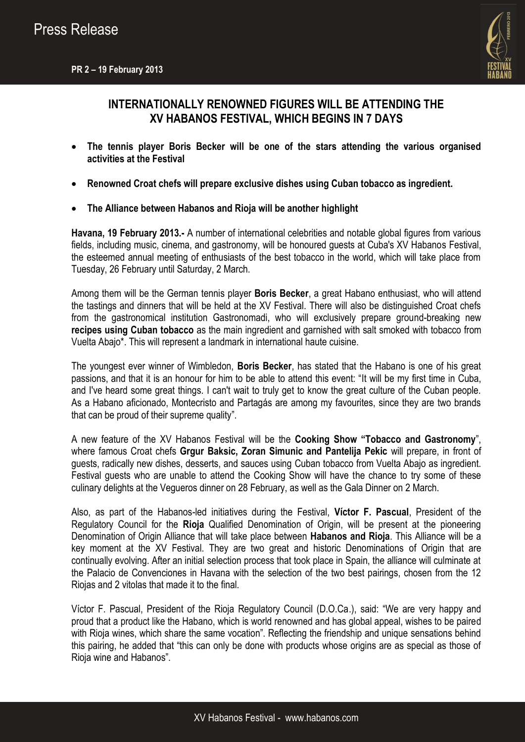

# **INTERNATIONALLY RENOWNED FIGURES WILL BE ATTENDING THE XV HABANOS FESTIVAL, WHICH BEGINS IN 7 DAYS**

- **The tennis player Boris Becker will be one of the stars attending the various organised activities at the Festival**
- **Renowned Croat chefs will prepare exclusive dishes using Cuban tobacco as ingredient.**
- **The Alliance between Habanos and Rioja will be another highlight**

**Havana, 19 February 2013.-** A number of international celebrities and notable global figures from various fields, including music, cinema, and gastronomy, will be honoured guests at Cuba's XV Habanos Festival, the esteemed annual meeting of enthusiasts of the best tobacco in the world, which will take place from Tuesday, 26 February until Saturday, 2 March.

Among them will be the German tennis player **Boris Becker**, a great Habano enthusiast, who will attend the tastings and dinners that will be held at the XV Festival. There will also be distinguished Croat chefs from the gastronomical institution Gastronomadi, who will exclusively prepare ground-breaking new **recipes using Cuban tobacco** as the main ingredient and garnished with salt smoked with tobacco from Vuelta Abajo\*. This will represent a landmark in international haute cuisine.

The youngest ever winner of Wimbledon, **Boris Becker**, has stated that the Habano is one of his great passions, and that it is an honour for him to be able to attend this event: "It will be my first time in Cuba, and I've heard some great things. I can't wait to truly get to know the great culture of the Cuban people. As a Habano aficionado, Montecristo and Partagás are among my favourites, since they are two brands that can be proud of their supreme quality".

A new feature of the XV Habanos Festival will be the **Cooking Show "Tobacco and Gastronomy**", where famous Croat chefs **Grgur Baksic, Zoran Simunic and Pantelija Pekic** will prepare, in front of guests, radically new dishes, desserts, and sauces using Cuban tobacco from Vuelta Abajo as ingredient. Festival guests who are unable to attend the Cooking Show will have the chance to try some of these culinary delights at the Vegueros dinner on 28 February, as well as the Gala Dinner on 2 March.

Also, as part of the Habanos-led initiatives during the Festival, **Víctor F. Pascual**, President of the Regulatory Council for the **Rioja** Qualified Denomination of Origin, will be present at the pioneering Denomination of Origin Alliance that will take place between **Habanos and Rioja**. This Alliance will be a key moment at the XV Festival. They are two great and historic Denominations of Origin that are continually evolving. After an initial selection process that took place in Spain, the alliance will culminate at the Palacio de Convenciones in Havana with the selection of the two best pairings, chosen from the 12 Riojas and 2 vitolas that made it to the final.

Víctor F. Pascual, President of the Rioja Regulatory Council (D.O.Ca.), said: "We are very happy and proud that a product like the Habano, which is world renowned and has global appeal, wishes to be paired with Rioja wines, which share the same vocation". Reflecting the friendship and unique sensations behind this pairing, he added that "this can only be done with products whose origins are as special as those of Rioja wine and Habanos".